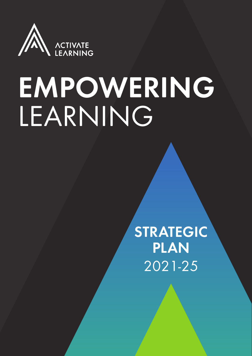

## EMPOWERING LEARNING

STRATEGIC PLAN 2021-25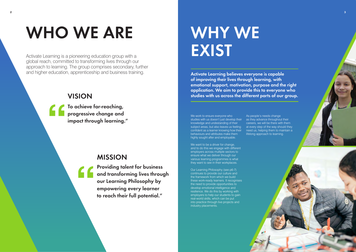## WHO WE ARE

## WHY WE **EXIST**

Activate Learning is a pioneering education group with a global reach, committed to transforming lives through our approach to learning. The group comprises secondary, further and higher education, apprenticeship and business training.

Activate Learning believes everyone is capable of improving their lives through learning, with emotional support, motivation, purpose and the right application. We aim to provide this to everyone who studies with us across the different parts of our group.

We work to ensure everyone who studies with us doesn't just develop their knowledge and undestanding of their subject areas, but also leaves us feeling confident as a learner knowing how their behaviours and attributes make them highly sought after and employable.

We want to be a driver for change, and to do this we engage with different employers across multiple sectors to ensure what we deliver through our various learning programmes is what they want to see in their workplaces.

Our Learning Philosophy (see p6-7) continues to provide our culture and the framework from which we build these work-ready learners. It recognises the need to provide opportunities to develop emotional intelligence and resilience. We do this by working with employers to help our students to gain real-world skills, which can be put into practice through live projects and industry placements.

As people's needs change as they advance throughout their careers, we will be there with them at every step of the way should they need us, helping them to maintain a lifelong approach to learning.

### VISION

To achieve far-reaching, progressive change and impact through learning."

### MISSION

Providing talent for business and transforming lives through our Learning Philosophy by empowering every learner to reach their full potential."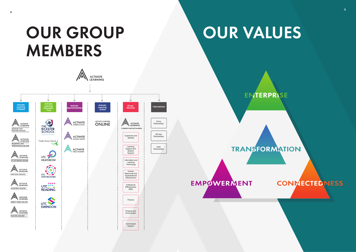

## OUR GROUP NOUR VALUES

**ENTERPRISE** 

**TRANSFORMATION** 

**EMPOWERMENT** 



### **CONNECTED NESS**

**4**

# MEMBERS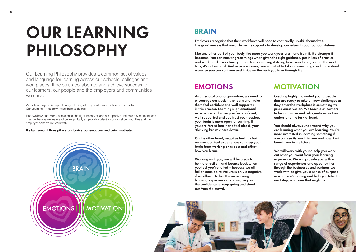## OUR LEARNING PHILOSOPHY

### **MOTIVATION**

We believe anyone is capable of great things if they can learn to believe in themselves. Our Learning Philosophy helps them to do this. We believe anyone is capable of great things if they can learn to believe in themselves.<br>Our Learning Philosophy helps them to do this.<br>It shows how hard work, persistence, the right incentives and a supportive and safe en

Our Learning Philosophy provides a common set of values and language for learning across our schools, colleges and workplaces. It helps us collaborate and achieve success for our learners, our people and the employers and communities we serve.

change the way we learn and develop highly employable talent for our local communities and the employer partners we work with. e way we learn and develop highly employable talent for our local contracts.<br>partners we work with.<br>around three pillars: our brains, our emotions, and being motion

**It's built around three pillars: our brains, our emotions, and being motivated.** 



### **BRAIN**

Employers recognise that their workforce will need to continually up-skill themselves. The good news is that we all have the capacity to develop ourselves throughout our lifetime.

Like any other part of your body, the more you work your brain and train it, the stronger it becomes. You can master great things when given the right guidance, put in lots of practice and work hard. Every time you practise something it strengthens your brain, so that the next time, it's not as hard. And as you improve, you can start to take on new things and understand more, so you can continue and thrive on the path you take through life.

### **EMOTIONS**

As an educational organisation, we need to encourage our students to learn and make them feel confident and well supported in this process. Learning is an emotional experience and when you feel confident, well supported and you trust your teacher, your brain is more open to learning. If you are forced into it and feel afraid, your 'thinking brain' closes down.

On the other hand, negative feelings built on previous bad experiences can stop your brain from working at its best and affect how you learn.

Working with you, we will help you to be more resilient and bounce back when you feel you've failed – because we all fail at some point! Failure is only a negative if we allow it to be. It is an amazing learning experience and can give you the confidence to keep going and stand out from the crowd.



Creating highly motivated young people that are ready to take on new challenges as they enter the workplace is something we pride ourselves on. We teach our learners to be inquisitive and ask questions so they understand the task at hand.

You should always understand why you are learning what you are learning. You're more interested in learning something if you can see its worth to you and how it will benefit you in the future.

We will work with you to help you work out what you want from your learning experience. We will provide you with a range of experiences and opportunities through the businesses and partners we work with, to give you a sense of purpose in what you're doing and help you take the next step, whatever that might be.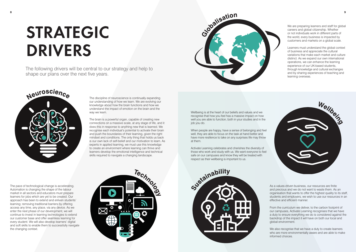## STRATEGIC DRIVERS





We are preparing learners and staff for global careers and global citizenship. Whether or not individuals work in different parts of the world, every business is impacted by customers and markets on a global scale.

Learners must understand the global context of business and appreciate the cultural variations that make each market and culture distinct. As we expand our own international operations, we can enhance the learning experience of our UK-based students, through knowledge and cultural exchanges and by sharing experiences of teaching and learning overseas.



The discipline of neuroscience is continually expanding our understanding of how we learn. We are evolving our knowledge about how the brain functions and how we understand the impact of emotion on the brain and the way we learn.

The brain is a powerful organ, capable of creating new connections on a massive scale, at any stage of life, and it does this in response to anything new that is learned. We recognise each individual's potential to activate their brain and push the boundaries of their learning, given the right mindset and conditions. The only thing that holds us back is our own lack of self-belief and our motivation to learn. As experts in applied learning, we must use this knowledge to create an environment where learning can thrive and learners develop the emotional intelligence and technical skills required to navigate a changing landscape.

> We also recognise that we have a duty to create learners who are more environmentally aware and are able to make informed choices.

The pace of technological change is accelerating. Automation is changing the shape of the labour market in all sectors and educators must prepare learners for jobs which are yet to be created. Our approach has been to extend and enliven students' learning; removing traditional barriers by offering access any time, any place, via any device. As we enter the next phase of our development, we will continue to invest in learning technologies to extend our customer base and offer seamless learning for every student. We will also develop learners' digital and soft skills to enable them to successfully navigate the changing context.



Wellbeing is at the heart of our beliefs and values and we recognise that how you feel has a massive impact on how well you are able to function, both in your studies and in the job you do.

When people are happy, have a sense of belonging and feel well, they are able to focus on the task at hand better and have more resilience to take on any surprises life may throw at them.

Activate Learning celebrates and cherishes the diversity of those who work and study with us. We want everyone to feel safe on our campuses and know they will be treated with respect as their wellbeing is important to us.





As a values-driven business, our resources are finite and precious and we do not want to waste them. As an organisation that wants to offer the highest quality to its staff, students and employers, we wish to use our resources in an effective and efficient manner.

From the curriculum we deliver, to the carbon footprint of our campuses, Activate Learning recognises that we have a duty to ensure everything we do is considered against the backdrop of the impact it will have on both our local and global environment.

The following drivers will be central to our strategy and help to shape our plans over the next five years.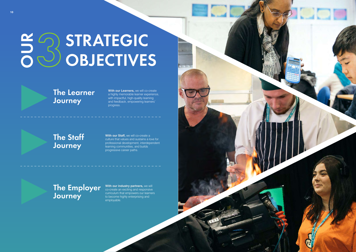## E STRATEGIC OBJECTIVES

### The Employer Journey

### The Learner Journey

### The Staff Journey

**With our Learners,** we will co-create a highly memorable learner experience, with impactful, high-quality learning and feedback, empowering learners' progress.

**With our Staff, we will co-create a** culture that values and sustains a love for professional development, interdependent learning communities, and builds progressive career paths.

**With our industry partners,** we will co-create an exciting and responsive curriculum that empowers our learners to become highly enterprising and employable.

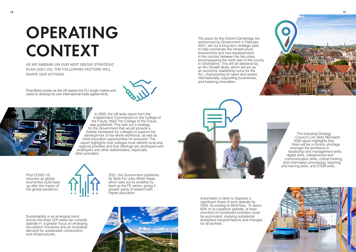## OPERATING CONTEXT

**AS WE EMBARK ON OUR NEXT GROUP STRATEGIC PLAN (2021-25), THE FOLLOWING FACTORS WILL SHAPE OUR ACTIONS.**

> In 2020, the UK-wide report from the Independent Commission on the College of the Future, titled The College of the Future, was published. This sets out a strategy for the Government that would provide a flexible framework for colleges to support the development of the whole workforce, as well as initial education opportunities for everyone. The report highlights how colleges must identify local and regional priorities and that offerings are developed with employers and other stakeholders, especially other providers.

Post COVID-19 recovery as global economies build back up after the impact of the global pandemic.



Post-Brexit phase as the UK leaves the EU single market and starts to develop its own international trade agreements.





2021, the Government publishes its Skills For Jobs White Paper, which sets out its ambition to level up the FE sector, giving it greater parity of esteem with higher education.

> Automation is likely to displace a significant share of work globally by 2030. According to McKinsey, "In about 60% of occupations globally, at least one-third of constituent activities could be automated, implying substantial workplace transformations and changes for all workers."

The plans for the Oxford-Cambridge Arc announced by Government in February 2021, set out a long-term strategic plan to help coordinate the infrastructure, environment and new developments in the corridor between the two cities, encompassing the north part of the county in Oxfordshire. This will be delivered by an Arc Growth Body, which will act as an economic leadership voice for the Arc, championing its talent and assets internationally, supporting businesses, and fostering innovation.



Sustainability is an emerging trend across the three LEP areas we currently operate in, a greater focus on emerging low-carbon industries and an increased demand for sustainable construction and infrastructures.



The Industrial Strategy Council's UK Skills Mismatch 2030 report highlights that there will be a chronic shortage amongst the workforce in leadership and management skills, digital skills, interpersonal and communication skills, critical thinking and information processing, teaching and training skills, and STEM skills.



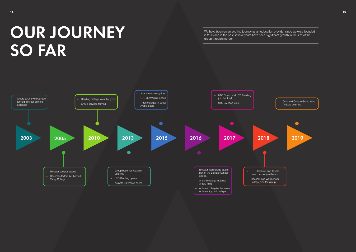

## OUR JOURNEY SO FAR

We have been on an exciting journey as an education provider since we were founded in 2013 and in the past several years have seen significant growth in the size of the group through merger.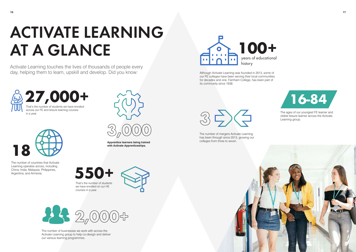

**Apprentice learners being trained with Activate Apprenticeships.**



The number of countries that Activate Learning operates across, including China, India, Malaysia, Philippines, Argentina, and Armenia.

**18**

The ages of our youngest FE learner and oldest leisure learner across the Activate Learning group.





Although Activate Learning was founded in 2013, some of our FE colleges have been serving their local communities for decades and one, Farnham College, has been part of its community since 1938.

3<del>0</del>

The number of mergers Activate Learning has been through since 2013, growing our colleges from three to seven.

That's the number of students we have enrolled on our HE courses in a year.





The number of businesses we work with across the Activate Learning group to help co-design and deliver our various learning programmes.









## ACTIVATE LEARNING AT A GLANCE

Activate Learning touches the lives of thousands of people every day, helping them to learn, upskill and develop. Did you know: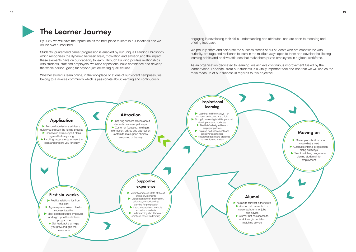

### The Learner Journey

By 2025, we will have the reputation as the best place to learn in our locations and we will be over-subscribed.

Students' guaranteed career progression is enabled by our unique Learning Philosophy, which recognises the dynamic between brain, motivation and emotion and the impact these elements have on our capacity to learn. Through building positive relationships with students, staff and employers, we raise aspirations, build confidence and develop the whole person, going far beyond just delivering qualifications.

Whether students learn online, in the workplace or at one of our vibrant campuses, we belong to a diverse community which is passionate about learning and continuously

engaging in developing their skills, understanding and attributes, and are open to receiving and offering feedback.

We proudly share and celebrate the success stories of our students who are empowered with curiosity, courage and resilience to learn in the multiple ways open to them and develop the lifelong learning habits and positive attitudes that make them prized employees in a global workforce.

As an organisation dedicated to learning, we achieve continuous improvement fueled by the learner voice. Feedback from our students is a vitally important tool and one that we will use as the main measure of our success in regards to this objective.

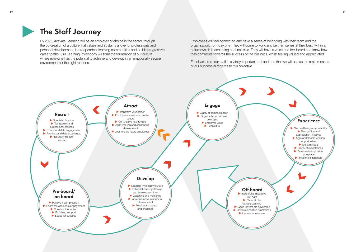

### The Staff Journey



By 2025, Activate Learning will be an employer of choice in the sector, through the co-creation of a culture that values and sustains a love for professional and personal development, interdependent learning communities and builds progressive career paths. Our Learning Philosophy will form the foundation of our culture where everyone has the potential to achieve and develop in an emotionally secure environment for the right reasons.

Employees will feel connected and have a sense of belonging with their team and the organisation, from day one. They will come to work and be themselves at their best, within a culture which is accepting and inclusive. They will have a voice and feel heard and know how they contribute towards the success of the business, whilst feeling valued and appreciated.

Feedback from our staff is a vitally important tool and one that we will use as the main measure of our success in regards to this objective.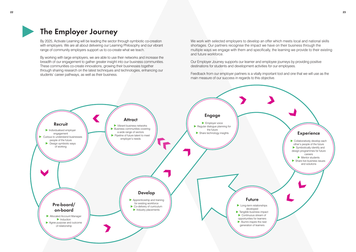

### The Employer Journey

By 2025, Activate Learning will be leading the sector through symbiotic co-creation with employers. We are all about delivering our Learning Philosophy and our vibrant range of community employers support us to co-create what we teach.

By working with large employers, we are able to use their networks and increase the breadth of our engagement to gather greater insight into our business communities. These communities co-create innovations, growing their businesses together through sharing research on the latest techniques and technologies, enhancing our students' career pathways, as well as their business.

### **Experience** Collaboratively develop each other's people of the future Symbiotically identify and design programmes for future careers Mentor students Share live business issues and solutions

We work with selected employers to develop an offer which meets local and national skills shortages. Our partners recognise the impact we have on their business through the multiple ways we engage with them and specifically, the learning we provide to their existing and future workforce.



Our Employer Journey supports our learner and employee journeys by providing positive destinations for students and development activities for our employees.

Feedback from our employer partners is a vitally important tool and one that we will use as the main measure of our success in regards to this objective.